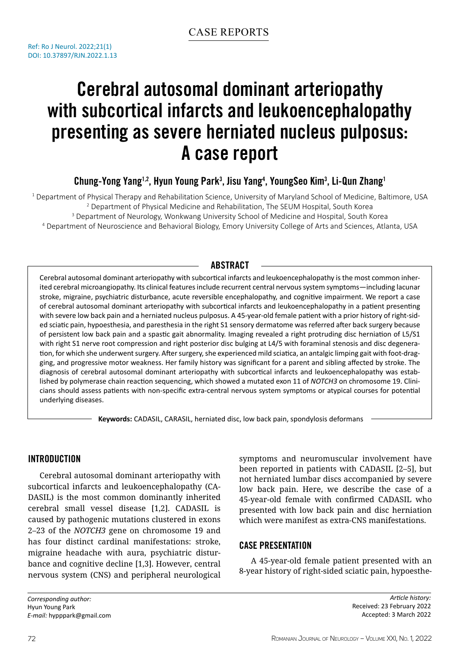# Cerebral autosomal dominant arteriopathy with subcortical infarcts and leukoencephalopathy presenting as severe herniated nucleus pulposus: A case report

## Chung-Yong Yang<sup>1,2</sup>, Hyun Young Park<sup>3</sup>, Jisu Yang<sup>4</sup>, YoungSeo Kim<sup>3</sup>, Li-Qun Zhang<sup>1</sup>

 Department of Physical Therapy and Rehabilitation Science, University of Maryland School of Medicine, Baltimore, USA Department of Physical Medicine and Rehabilitation, The SEUM Hospital, South Korea Department of Neurology, Wonkwang University School of Medicine and Hospital, South Korea Department of Neuroscience and Behavioral Biology, Emory University College of Arts and Sciences, Atlanta, USA

## **ABSTRACT**

Cerebral autosomal dominant arteriopathy with subcortical infarcts and leukoencephalopathy is the most common inherited cerebral microangiopathy. Its clinical features include recurrent central nervous system symptoms—including lacunar stroke, migraine, psychiatric disturbance, acute reversible encephalopathy, and cognitive impairment. We report a case of cerebral autosomal dominant arteriopathy with subcortical infarcts and leukoencephalopathy in a patient presenting with severe low back pain and a herniated nucleus pulposus. A 45-year-old female patient with a prior history of right-sided sciatic pain, hypoesthesia, and paresthesia in the right S1 sensory dermatome was referred after back surgery because of persistent low back pain and a spastic gait abnormality. Imaging revealed a right protruding disc herniation of L5/S1 with right S1 nerve root compression and right posterior disc bulging at L4/5 with foraminal stenosis and disc degeneration, for which she underwent surgery. After surgery, she experienced mild sciatica, an antalgic limping gait with foot-dragging, and progressive motor weakness. Her family history was significant for a parent and sibling affected by stroke. The diagnosis of cerebral autosomal dominant arteriopathy with subcortical infarcts and leukoencephalopathy was established by polymerase chain reaction sequencing, which showed a mutated exon 11 of *NOTCH3* on chromosome 19. Clinicians should assess patients with non-specific extra-central nervous system symptoms or atypical courses for potential underlying diseases.

**Keywords:** CADASIL, CARASIL, herniated disc, low back pain, spondylosis deformans

## Introduction

Cerebral autosomal dominant arteriopathy with subcortical infarcts and leukoencephalopathy (CA-DASIL) is the most common dominantly inherited cerebral small vessel disease [1,2]. CADASIL is caused by pathogenic mutations clustered in exons 2–23 of the *NOTCH3* gene on chromosome 19 and has four distinct cardinal manifestations: stroke, migraine headache with aura, psychiatric disturbance and cognitive decline [1,3]. However, central nervous system (CNS) and peripheral neurological

symptoms and neuromuscular involvement have been reported in patients with CADASIL [2–5], but not herniated lumbar discs accompanied by severe low back pain. Here, we describe the case of a 45-year-old female with confirmed CADASIL who presented with low back pain and disc herniation which were manifest as extra-CNS manifestations.

#### Case Presentation

A 45-year-old female patient presented with an 8-year history of right-sided sciatic pain, hypoesthe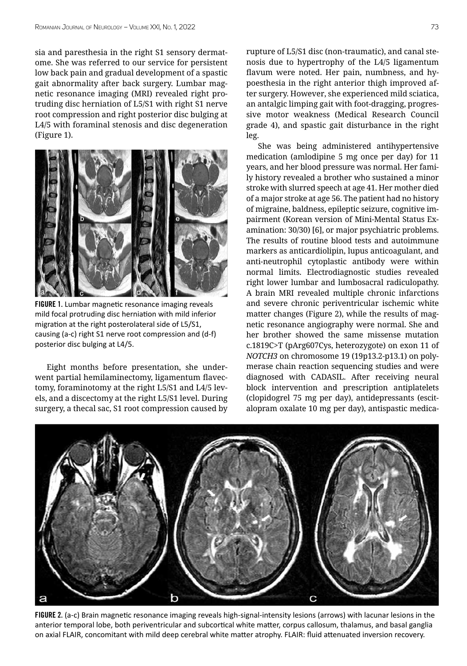sia and paresthesia in the right S1 sensory dermatome. She was referred to our service for persistent low back pain and gradual development of a spastic gait abnormality after back surgery. Lumbar magnetic resonance imaging (MRI) revealed right protruding disc herniation of L5/S1 with right S1 nerve root compression and right posterior disc bulging at L4/5 with foraminal stenosis and disc degeneration (Figure 1).



FIGURE 1. Lumbar magnetic resonance imaging reveals mild focal protruding disc herniation with mild inferior migration at the right posterolateral side of L5/S1, causing (a-c) right S1 nerve root compression and (d-f) posterior disc bulging at L4/5.

Eight months before presentation, she underwent partial hemilaminectomy, ligamentum flavectomy, foraminotomy at the right L5/S1 and L4/5 levels, and a discectomy at the right L5/S1 level. During surgery, a thecal sac, S1 root compression caused by rupture of L5/S1 disc (non-traumatic), and canal stenosis due to hypertrophy of the L4/5 ligamentum flavum were noted. Her pain, numbness, and hypoesthesia in the right anterior thigh improved after surgery. However, she experienced mild sciatica, an antalgic limping gait with foot-dragging, progressive motor weakness (Medical Research Council grade 4), and spastic gait disturbance in the right leg.

She was being administered antihypertensive medication (amlodipine 5 mg once per day) for 11 years, and her blood pressure was normal. Her family history revealed a brother who sustained a minor stroke with slurred speech at age 41. Her mother died of a major stroke at age 56. The patient had no history of migraine, baldness, epileptic seizure, cognitive impairment (Korean version of Mini-Mental Status Examination: 30/30) [6], or major psychiatric problems. The results of routine blood tests and autoimmune markers as anticardiolipin, lupus anticoagulant, and anti-neutrophil cytoplastic antibody were within normal limits. Electrodiagnostic studies revealed right lower lumbar and lumbosacral radiculopathy. A brain MRI revealed multiple chronic infarctions and severe chronic periventricular ischemic white matter changes (Figure 2), while the results of magnetic resonance angiography were normal. She and her brother showed the same missense mutation c.1819C>T (pArg607Cys, heterozygote) on exon 11 of *NOTCH3* on chromosome 19 (19p13.2-p13.1) on polymerase chain reaction sequencing studies and were diagnosed with CADASIL. After receiving neural block intervention and prescription antiplatelets (clopidogrel 75 mg per day), antidepressants (escitalopram oxalate 10 mg per day), antispastic medica-



FIGURE 2. (a-c) Brain magnetic resonance imaging reveals high-signal-intensity lesions (arrows) with lacunar lesions in the anterior temporal lobe, both periventricular and subcortical white matter, corpus callosum, thalamus, and basal ganglia on axial FLAIR, concomitant with mild deep cerebral white matter atrophy. FLAIR: fluid attenuated inversion recovery.